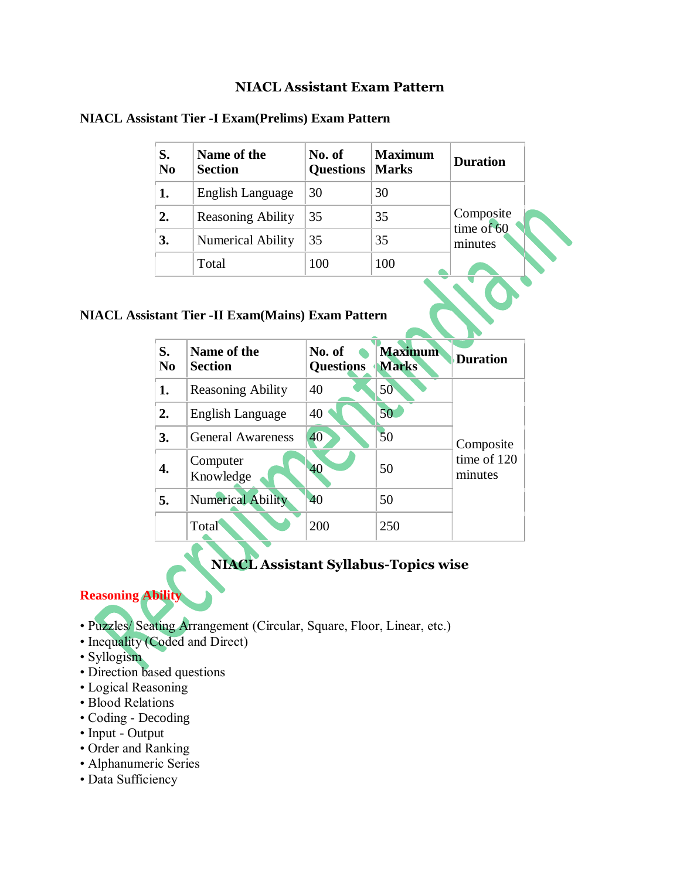#### **NIACL Assistant Exam Pattern**

| S.<br>N <sub>0</sub> | Name of the<br><b>Section</b> | No. of<br><b>Questions</b> | <b>Maximum</b><br><b>Marks</b> | <b>Duration</b>                    |
|----------------------|-------------------------------|----------------------------|--------------------------------|------------------------------------|
| 1.                   | English Language              | 30                         | 30                             | Composite<br>time of 60<br>minutes |
| 2.                   | <b>Reasoning Ability</b>      | 35                         | 35                             |                                    |
| 3.                   | Numerical Ability             | 35                         | 35                             |                                    |
|                      | Total                         | 100                        | 100                            |                                    |

#### **NIACL Assistant Tier -I Exam(Prelims) Exam Pattern**

## **NIACL Assistant Tier -II Exam(Mains) Exam Pattern**

| S.<br>N <sub>0</sub> | Name of the<br><b>Section</b> | No. of<br><b>Questions</b> | <b>Maximum</b><br><b>Marks</b> | <b>Duration</b>                     |  |
|----------------------|-------------------------------|----------------------------|--------------------------------|-------------------------------------|--|
| 1.                   | <b>Reasoning Ability</b>      | 40                         | 50                             | Composite<br>time of 120<br>minutes |  |
| 2.                   | English Language              | 40                         | 50                             |                                     |  |
| 3.                   | <b>General Awareness</b>      | 40                         | 50                             |                                     |  |
| 4.                   | Computer<br>Knowledge         | 40                         | 50                             |                                     |  |
| 5.                   | <b>Numerical Ability</b>      | 40                         | 50                             |                                     |  |
|                      | Total                         | 200                        | 250                            |                                     |  |

# **NIACL Assistant Syllabus-Topics wise**

#### **Reasoning Ability**

- Puzzles/ Seating Arrangement (Circular, Square, Floor, Linear, etc.)
- Inequality (Coded and Direct)
- Syllogism
- Direction based questions
- Logical Reasoning
- Blood Relations
- Coding Decoding
- Input Output
- Order and Ranking
- Alphanumeric Series
- Data Sufficiency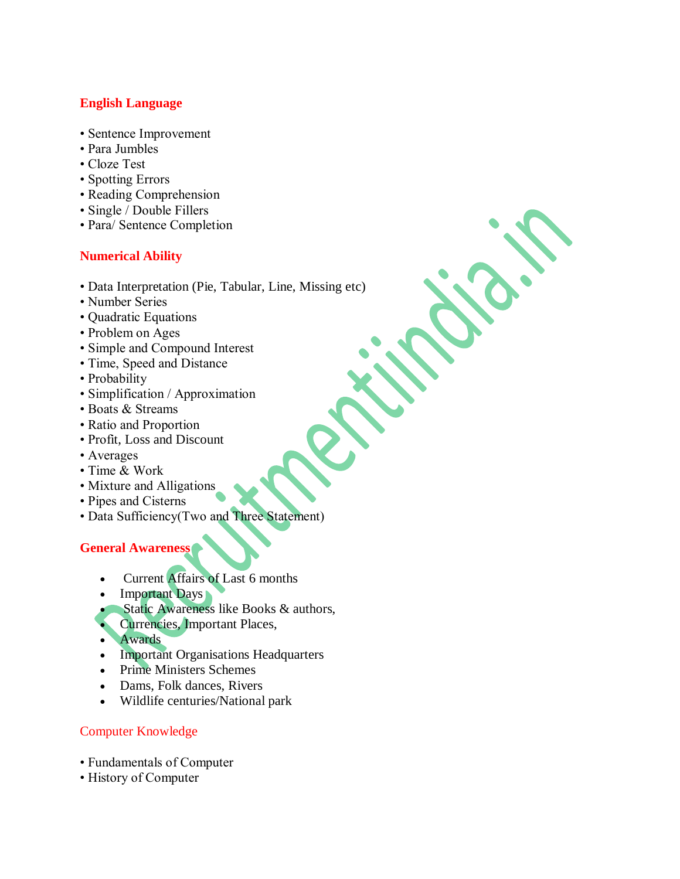### **English Language**

- Sentence Improvement
- Para Jumbles
- Cloze Test
- Spotting Errors
- Reading Comprehension
- Single / Double Fillers
- Para/ Sentence Completion

#### **Numerical Ability**

- Data Interpretation (Pie, Tabular, Line, Missing etc)
- Number Series
- Quadratic Equations
- Problem on Ages
- Simple and Compound Interest
- Time, Speed and Distance
- Probability
- Simplification / Approximation
- Boats & Streams
- Ratio and Proportion
- Profit, Loss and Discount
- Averages
- Time & Work
- Mixture and Alligations
- Pipes and Cisterns
- Data Sufficiency(Two and Three Statement)

## **General Awareness**

- Current Affairs of Last 6 months
- Important Days
- Static Awareness like Books & authors,
- Currencies, Important Places,
- Awards
- Important Organisations Headquarters
- Prime Ministers Schemes
- Dams, Folk dances, Rivers
- Wildlife centuries/National park

#### Computer Knowledge

- Fundamentals of Computer
- History of Computer